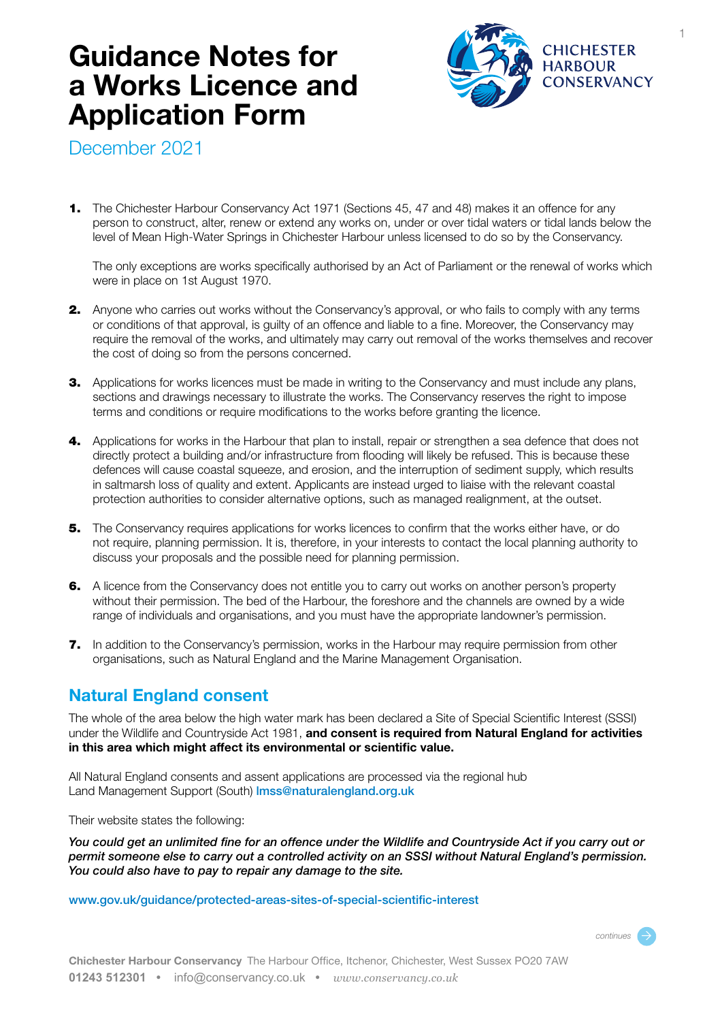# **Guidance Notes for a Works Licence and Application Form**



1

December 2021

1. The Chichester Harbour Conservancy Act 1971 (Sections 45, 47 and 48) makes it an offence for any person to construct, alter, renew or extend any works on, under or over tidal waters or tidal lands below the level of Mean High-Water Springs in Chichester Harbour unless licensed to do so by the Conservancy.

The only exceptions are works specifically authorised by an Act of Parliament or the renewal of works which were in place on 1st August 1970.

- **2.** Anyone who carries out works without the Conservancy's approval, or who fails to comply with any terms or conditions of that approval, is guilty of an offence and liable to a fine. Moreover, the Conservancy may require the removal of the works, and ultimately may carry out removal of the works themselves and recover the cost of doing so from the persons concerned.
- **3.** Applications for works licences must be made in writing to the Conservancy and must include any plans, sections and drawings necessary to illustrate the works. The Conservancy reserves the right to impose terms and conditions or require modifications to the works before granting the licence.
- 4. Applications for works in the Harbour that plan to install, repair or strengthen a sea defence that does not directly protect a building and/or infrastructure from flooding will likely be refused. This is because these defences will cause coastal squeeze, and erosion, and the interruption of sediment supply, which results in saltmarsh loss of quality and extent. Applicants are instead urged to liaise with the relevant coastal protection authorities to consider alternative options, such as managed realignment, at the outset.
- **5.** The Conservancy requires applications for works licences to confirm that the works either have, or do not require, planning permission. It is, therefore, in your interests to contact the local planning authority to discuss your proposals and the possible need for planning permission.
- 6. A licence from the Conservancy does not entitle you to carry out works on another person's property without their permission. The bed of the Harbour, the foreshore and the channels are owned by a wide range of individuals and organisations, and you must have the appropriate landowner's permission.
- 7. In addition to the Conservancy's permission, works in the Harbour may require permission from other organisations, such as Natural England and the Marine Management Organisation.

### **Natural England consent**

The whole of the area below the high water mark has been declared a Site of Special Scientific Interest (SSSI) under the Wildlife and Countryside Act 1981, **and consent is required from Natural England for activities in this area which might affect its environmental or scientific value.**

All Natural England consents and assent applications are processed via the regional hub Land Management Support (South) lmss@naturalengland.org.uk

Their website states the following:

*You could get an unlimited fine for an offence under the Wildlife and Countryside Act if you carry out or permit someone else to carry out a controlled activity on an SSSI without Natural England's permission. You could also have to pay to repair any damage to the site.* 

www.gov.uk/guidance/protected-areas-sites-of-special-scientific-interest

*continues* Ò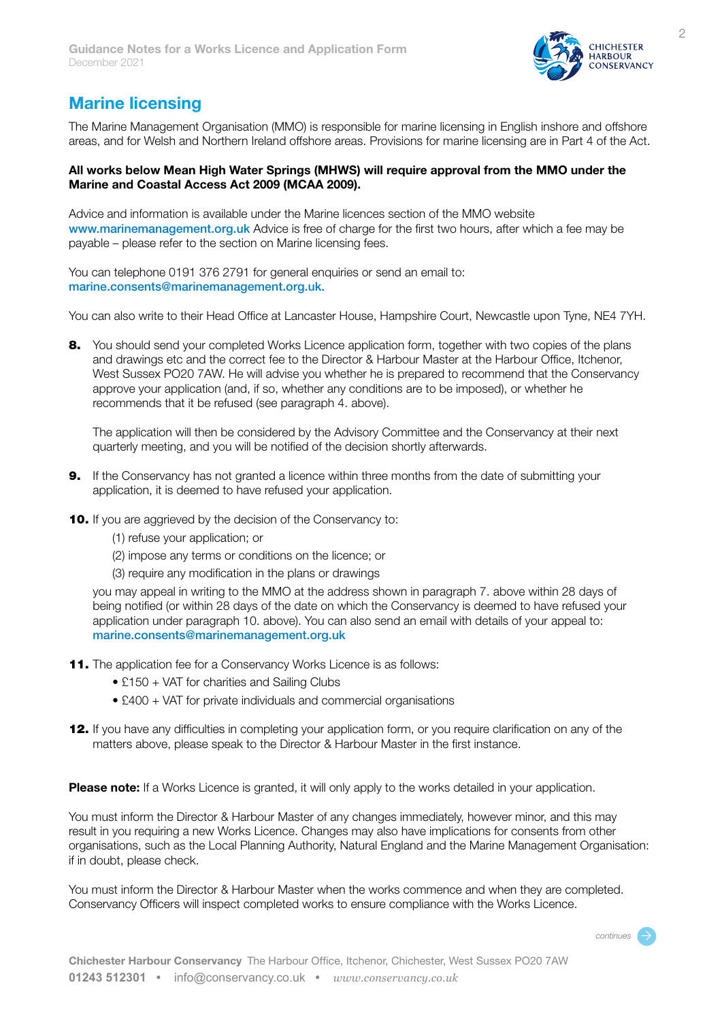

## **Marine licensing**

The Marine Management Organisation (MMO) is responsible for marine licensing in English inshore and offshore areas, and for Welsh and Northern Ireland offshore areas. Provisions for marine licensing are in Part 4 of the Act.

### **All works below Mean High Water Springs (MHWS) will require approval from the MMO under the Marine and Coastal Access Act 2009 (MCAA 2009).**

Advice and information is available under the Marine licences section of the MMO website www.marinemanagement.org.uk Advice is free of charge for the first two hours, after which a fee may be payable – please refer to the section on Marine licensing fees.

You can telephone 0191 376 2791 for general enquiries or send an email to: marine.consents@marinemanagement.org.uk.

You can also write to their Head Office at Lancaster House, Hampshire Court, Newcastle upon Tyne, NE4 7YH.

8. You should send your completed Works Licence application form, together with two copies of the plans and drawings etc and the correct fee to the Director & Harbour Master at the Harbour Office, Itchenor, West Sussex PO20 7AW. He will advise you whether he is prepared to recommend that the Conservancy approve your application (and, if so, whether any conditions are to be imposed), or whether he recommends that it be refused (see paragraph 4. above).

The application will then be considered by the Advisory Committee and the Conservancy at their next quarterly meeting, and you will be notified of the decision shortly afterwards.

- **9.** If the Conservancy has not granted a licence within three months from the date of submitting your application, it is deemed to have refused your application.
- 10. If you are aggrieved by the decision of the Conservancy to:
	- (1) refuse your application; or
	- (2) impose any terms or conditions on the licence; or
	- (3) require any modification in the plans or drawings

you may appeal in writing to the MMO at the address shown in paragraph 7. above within 28 days of being notified (or within 28 days of the date on which the Conservancy is deemed to have refused your application under paragraph 10. above). You can also send an email with details of your appeal to: marine.consents@marinemanagement.org.uk

- 11. The application fee for a Conservancy Works Licence is as follows:
	- £150 + VAT for charities and Sailing Clubs
	- £400 + VAT for private individuals and commercial organisations
- 12. If you have any difficulties in completing your application form, or you require clarification on any of the matters above, please speak to the Director & Harbour Master in the first instance.

**Please note:** If a Works Licence is granted, it will only apply to the works detailed in your application.

You must inform the Director & Harbour Master of any changes immediately, however minor, and this may result in you requiring a new Works Licence. Changes may also have implications for consents from other organisations, such as the Local Planning Authority, Natural England and the Marine Management Organisation: if in doubt, please check.

You must inform the Director & Harbour Master when the works commence and when they are completed. Conservancy Officers will inspect completed works to ensure compliance with the Works Licence.

*continues* Ò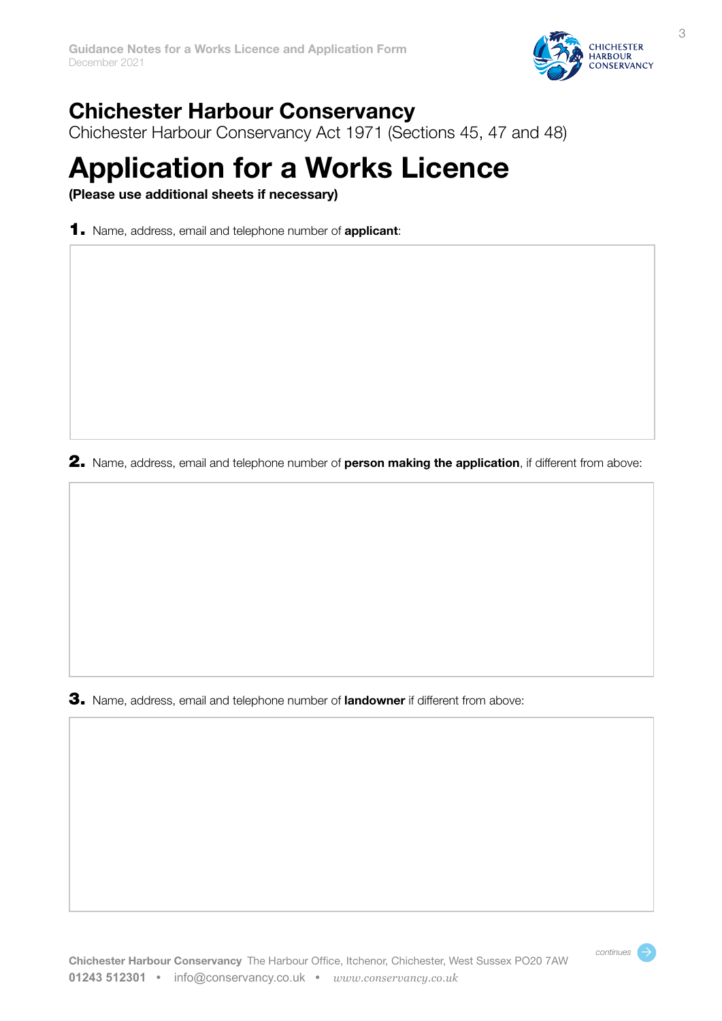

*continues* Ò

## **Chichester Harbour Conservancy**

Chichester Harbour Conservancy Act 1971 (Sections 45, 47 and 48)

# **Application for a Works Licence**

**(Please use additional sheets if necessary)**

1. Name, address, email and telephone number of **applicant**:

2. Name, address, email and telephone number of **person making the application**, if different from above:

3. Name, address, email and telephone number of **landowner** if different from above: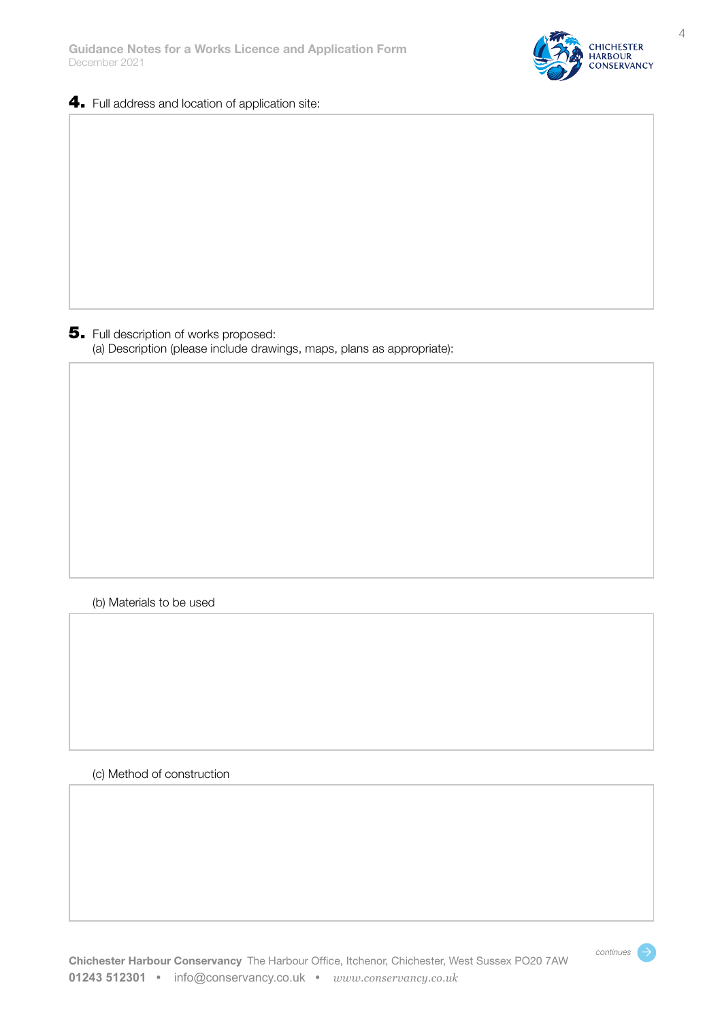

### 4. Full address and location of application site:

5. Full description of works proposed: (a) Description (please include drawings, maps, plans as appropriate):

### (b) Materials to be used

### (c) Method of construction